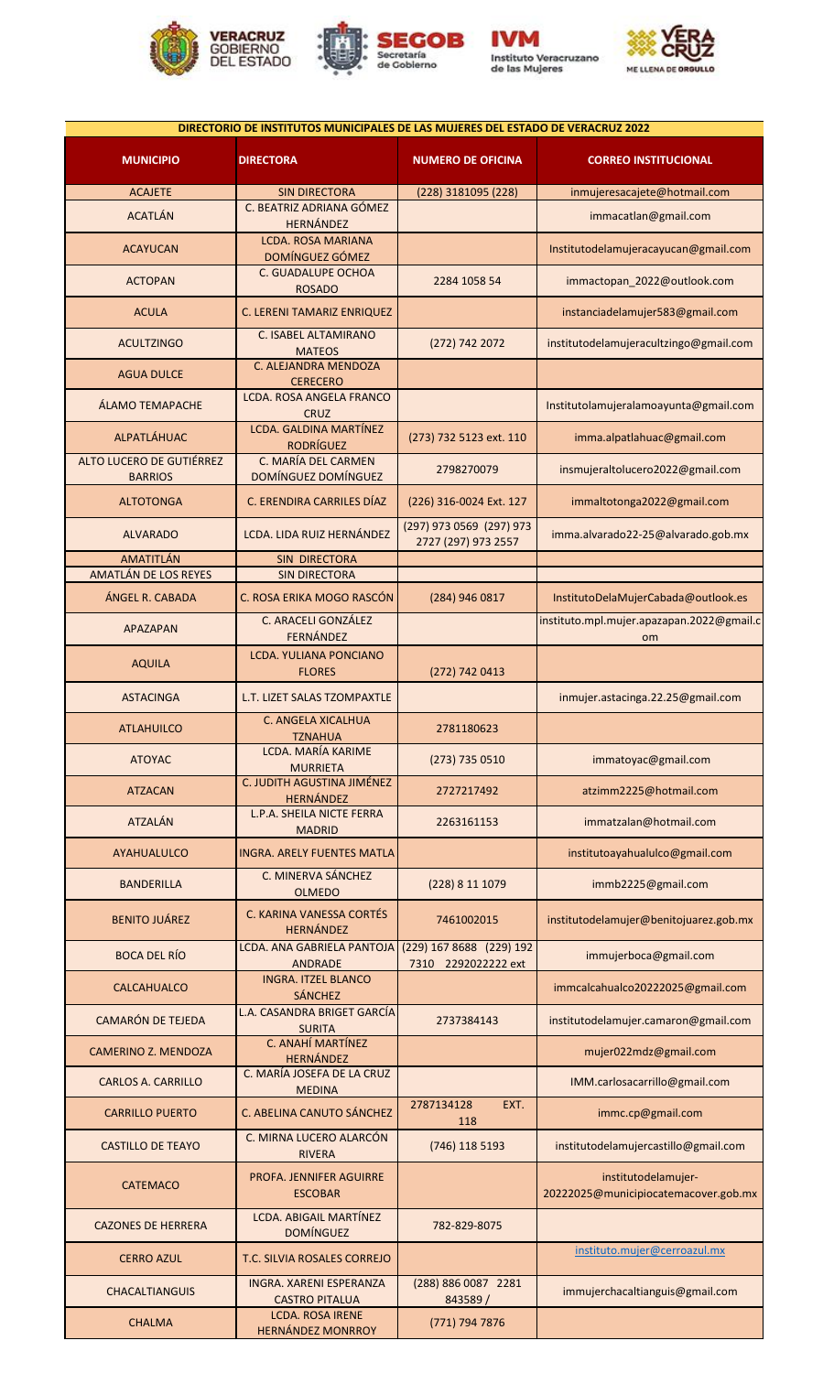







|                                                       | DIRECTORIO DE INSTITUTOS MUNICIPALES DE LAS MUJERES DEL ESTADO DE VERACRUZ 2022 |                                                 |                                                                                  |
|-------------------------------------------------------|---------------------------------------------------------------------------------|-------------------------------------------------|----------------------------------------------------------------------------------|
| <b>MUNICIPIO</b>                                      | <b>DIRECTORA</b>                                                                | <b>NUMERO DE OFICINA</b>                        | <b>CORREO INSTITUCIONAL</b>                                                      |
| <b>ACAJETE</b>                                        | <b>SIN DIRECTORA</b>                                                            | (228) 3181095 (228)                             | inmujeresacajete@hotmail.com                                                     |
| <b>ACATLÁN</b>                                        | C. BEATRIZ ADRIANA GÓMEZ<br>HERNÁNDEZ                                           |                                                 | immacatlan@gmail.com                                                             |
| <b>ACAYUCAN</b>                                       | <b>LCDA. ROSA MARIANA</b><br>DOMÍNGUEZ GÓMEZ                                    |                                                 | Institutodelamujeracayucan@gmail.com                                             |
| <b>ACTOPAN</b>                                        | C. GUADALUPE OCHOA<br><b>ROSADO</b>                                             | 2284 1058 54                                    | immactopan_2022@outlook.com                                                      |
| <b>ACULA</b>                                          | C. LERENI TAMARIZ ENRIQUEZ                                                      |                                                 | instanciadelamujer583@gmail.com                                                  |
| <b>ACULTZINGO</b>                                     | C. ISABEL ALTAMIRANO<br><b>MATEOS</b>                                           | (272) 742 2072                                  | institutodelamujeracultzingo@gmail.com                                           |
| <b>AGUA DULCE</b>                                     | C. ALEJANDRA MENDOZA<br><b>CERECERO</b><br><b>LCDA. ROSA ANGELA FRANCO</b>      |                                                 |                                                                                  |
| <b>ÁLAMO TEMAPACHE</b>                                | <b>CRUZ</b><br>LCDA. GALDINA MARTÍNEZ                                           |                                                 | Institutolamujeralamoayunta@gmail.com                                            |
| <b>ALPATLÁHUAC</b><br><b>ALTO LUCERO DE GUTIÉRREZ</b> | <b>RODRÍGUEZ</b><br>C. MARÍA DEL CARMEN                                         | (273) 732 5123 ext. 110                         | imma.alpatlahuac@gmail.com                                                       |
| <b>BARRIOS</b>                                        | DOMÍNGUEZ DOMÍNGUEZ                                                             | 2798270079                                      | insmujeraltolucero2022@gmail.com                                                 |
| <b>ALTOTONGA</b>                                      | C. ERENDIRA CARRILES DÍAZ                                                       | (226) 316-0024 Ext. 127                         | immaltotonga2022@gmail.com                                                       |
| <b>ALVARADO</b>                                       | LCDA. LIDA RUIZ HERNÁNDEZ                                                       | (297) 973 0569 (297) 973<br>2727 (297) 973 2557 | imma.alvarado22-25@alvarado.gob.mx                                               |
| AMATITLÁN                                             | SIN DIRECTORA                                                                   |                                                 |                                                                                  |
| AMATLÁN DE LOS REYES                                  | <b>SIN DIRECTORA</b>                                                            |                                                 |                                                                                  |
| ÁNGEL R. CABADA                                       | C. ROSA ERIKA MOGO RASCÓN<br>C. ARACELI GONZÁLEZ                                | (284) 946 0817                                  | InstitutoDelaMujerCabada@outlook.es<br>instituto.mpl.mujer.apazapan.2022@gmail.c |
| <b>APAZAPAN</b>                                       | <b>FERNÁNDEZ</b><br><b>LCDA. YULIANA PONCIANO</b>                               |                                                 | om                                                                               |
| <b>AQUILA</b>                                         | <b>FLORES</b>                                                                   | (272) 742 0413                                  |                                                                                  |
| <b>ASTACINGA</b>                                      | L.T. LIZET SALAS TZOMPAXTLE<br>C. ANGELA XICALHUA                               |                                                 | inmujer.astacinga.22.25@gmail.com                                                |
| <b>ATLAHUILCO</b>                                     | TZNAHUA<br>LCDA. MARÍA KARIME                                                   | 2781180623                                      |                                                                                  |
| <b>ATOYAC</b>                                         | <b>MURRIETA</b><br>C. JUDITH AGUSTINA JIMÉNEZ                                   | (273) 735 0510                                  | immatoyac@gmail.com                                                              |
| <b>ATZACAN</b>                                        | <b>HERNÁNDEZ</b><br>L.P.A. SHEILA NICTE FERRA                                   | 2727217492                                      | atzimm2225@hotmail.com                                                           |
| <b>ATZALÁN</b>                                        | <b>MADRID</b>                                                                   | 2263161153                                      | immatzalan@hotmail.com                                                           |
| <b>AYAHUALULCO</b>                                    | <b>INGRA. ARELY FUENTES MATLA</b><br>C. MINERVA SÁNCHEZ                         |                                                 | institutoayahualulco@gmail.com                                                   |
| <b>BANDERILLA</b>                                     | <b>OLMEDO</b>                                                                   | (228) 8 11 1079                                 | immb2225@gmail.com                                                               |
| <b>BENITO JUÁREZ</b>                                  | C. KARINA VANESSA CORTÉS<br><b>HERNÁNDEZ</b>                                    | 7461002015                                      | institutodelamujer@benitojuarez.gob.mx                                           |
| <b>BOCA DEL RÍO</b>                                   | LCDA. ANA GABRIELA PANTOJA<br><b>ANDRADE</b>                                    | (229) 167 8688 (229) 192<br>7310 2292022222 ext | immujerboca@gmail.com                                                            |
| <b>CALCAHUALCO</b>                                    | <b>INGRA. ITZEL BLANCO</b><br><b>SÁNCHEZ</b>                                    |                                                 | immcalcahualco20222025@gmail.com                                                 |
| <b>CAMARÓN DE TEJEDA</b>                              | L.A. CASANDRA BRIGET GARCÍA<br><b>SURITA</b>                                    | 2737384143                                      | institutodelamujer.camaron@gmail.com                                             |
| <b>CAMERINO Z. MENDOZA</b>                            | C. ANAHÍ MARTÍNEZ<br><b>HERNÁNDEZ</b>                                           |                                                 | mujer022mdz@gmail.com                                                            |
| <b>CARLOS A. CARRILLO</b>                             | C. MARÍA JOSEFA DE LA CRUZ<br><b>MEDINA</b>                                     |                                                 | IMM.carlosacarrillo@gmail.com                                                    |
| <b>CARRILLO PUERTO</b>                                | C. ABELINA CANUTO SÁNCHEZ                                                       | 2787134128<br>EXT.<br>118                       | immc.cp@gmail.com                                                                |
| <b>CASTILLO DE TEAYO</b>                              | C. MIRNA LUCERO ALARCÓN<br><b>RIVERA</b>                                        | (746) 118 5193                                  | institutodelamujercastillo@gmail.com                                             |
| <b>CATEMACO</b>                                       | PROFA. JENNIFER AGUIRRE<br><b>ESCOBAR</b>                                       |                                                 | institutodelamujer-<br>20222025@municipiocatemacover.gob.mx                      |
| <b>CAZONES DE HERRERA</b>                             | LCDA. ABIGAIL MARTÍNEZ<br><b>DOMÍNGUEZ</b>                                      | 782-829-8075                                    |                                                                                  |
| <b>CERRO AZUL</b>                                     | T.C. SILVIA ROSALES CORREJO                                                     |                                                 | instituto.mujer@cerroazul.mx                                                     |
| <b>CHACALTIANGUIS</b>                                 | <b>INGRA. XARENI ESPERANZA</b><br><b>CASTRO PITALUA</b>                         | (288) 886 0087 2281<br>843589/                  | immujerchacaltianguis@gmail.com                                                  |
| <b>CHALMA</b>                                         | <b>LCDA. ROSA IRENE</b><br><b>HERNÁNDEZ MONRROY</b>                             | (771) 794 7876                                  |                                                                                  |
|                                                       |                                                                                 |                                                 |                                                                                  |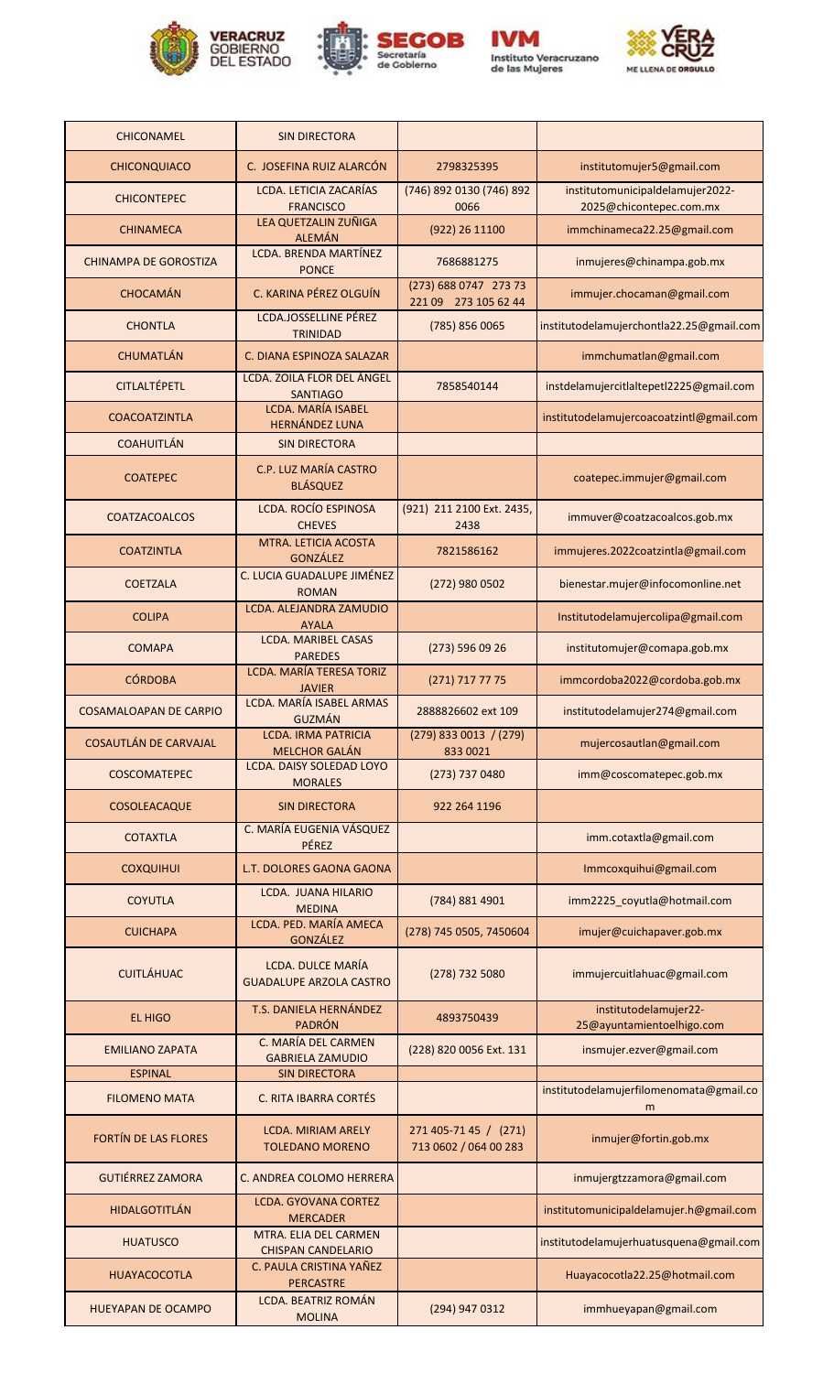









| <b>CHICONAMEL</b>                      | <b>SIN DIRECTORA</b>                                 |                                                |                                                             |
|----------------------------------------|------------------------------------------------------|------------------------------------------------|-------------------------------------------------------------|
| <b>CHICONQUIACO</b>                    | C. JOSEFINA RUIZ ALARCÓN                             | 2798325395                                     | institutomujer5@gmail.com                                   |
| <b>CHICONTEPEC</b>                     | LCDA. LETICIA ZACARÍAS<br><b>FRANCISCO</b>           | (746) 892 0130 (746) 892<br>0066               | institutomunicipaldelamujer2022-<br>2025@chicontepec.com.mx |
| <b>CHINAMECA</b>                       | LEA QUETZALIN ZUÑIGA<br><b>ALEMÁN</b>                | (922) 26 11100                                 | immchinameca22.25@gmail.com                                 |
| <b>CHINAMPA DE GOROSTIZA</b>           | LCDA. BRENDA MARTÍNEZ<br><b>PONCE</b>                | 7686881275                                     | inmujeres@chinampa.gob.mx                                   |
| <b>CHOCAMÁN</b>                        | C. KARINA PÉREZ OLGUÍN                               | (273) 688 0747 273 73<br>221 09 273 105 62 44  | immujer.chocaman@gmail.com                                  |
| <b>CHONTLA</b>                         | <b>LCDA.JOSSELLINE PÉREZ</b><br><b>TRINIDAD</b>      | (785) 856 0065                                 | institutodelamujerchontla22.25@gmail.com                    |
| <b>CHUMATLÁN</b>                       | C. DIANA ESPINOZA SALAZAR                            |                                                | immchumatlan@gmail.com                                      |
| <b>CITLALTÉPETL</b>                    | LCDA. ZOILA FLOR DEL ÁNGEL<br><b>SANTIAGO</b>        | 7858540144                                     | instdelamujercitlaltepetl2225@gmail.com                     |
| <b>COACOATZINTLA</b>                   | LCDA. MARÍA ISABEL<br><b>HERNÁNDEZ LUNA</b>          |                                                | institutodelamujercoacoatzintl@gmail.com                    |
| <b>COAHUITLÁN</b>                      | <b>SIN DIRECTORA</b>                                 |                                                |                                                             |
| <b>COATEPEC</b>                        | C.P. LUZ MARÍA CASTRO<br><b>BLÁSQUEZ</b>             |                                                | coatepec.immujer@gmail.com                                  |
| <b>COATZACOALCOS</b>                   | <b>LCDA. ROCÍO ESPINOSA</b><br><b>CHEVES</b>         | (921) 211 2100 Ext. 2435,<br>2438              | immuver@coatzacoalcos.gob.mx                                |
| <b>COATZINTLA</b>                      | MTRA. LETICIA ACOSTA<br><b>GONZÁLEZ</b>              | 7821586162                                     | immujeres.2022coatzintla@gmail.com                          |
| <b>COETZALA</b>                        | C. LUCIA GUADALUPE JIMÉNEZ<br><b>ROMAN</b>           | (272) 980 0502                                 | bienestar.mujer@infocomonline.net                           |
| <b>COLIPA</b>                          | LCDA. ALEJANDRA ZAMUDIO<br><b>AYALA</b>              |                                                | Institutodelamujercolipa@gmail.com                          |
| <b>COMAPA</b>                          | <b>LCDA. MARIBEL CASAS</b><br><b>PAREDES</b>         | $(273)$ 596 09 26                              | institutomujer@comapa.gob.mx                                |
| <b>CÓRDOBA</b>                         | LCDA. MARÍA TERESA TORIZ<br><b>JAVIER</b>            | (271) 717 77 75                                | immcordoba2022@cordoba.gob.mx                               |
| <b>COSAMALOAPAN DE CARPIO</b>          | LCDA. MARÍA ISABEL ARMAS<br><b>GUZMÁN</b>            | 2888826602 ext 109                             | institutodelamujer274@gmail.com                             |
| <b>COSAUTLÁN DE CARVAJAL</b>           | <b>LCDA. IRMA PATRICIA</b><br><b>MELCHOR GALÁN</b>   | $(279)$ 833 0013 / (279)<br>833 0021           | mujercosautlan@gmail.com                                    |
| <b>COSCOMATEPEC</b>                    | <b>LCDA. DAISY SOLEDAD LOYO</b><br><b>MORALES</b>    | (273) 737 0480                                 | imm@coscomatepec.gob.mx                                     |
| COSOLEACAQUE                           | <b>SIN DIRECTORA</b>                                 | 922 264 1196                                   |                                                             |
| <b>COTAXTLA</b>                        | C. MARÍA EUGENIA VÁSQUEZ<br><b>PÉREZ</b>             |                                                | imm.cotaxtla@gmail.com                                      |
| <b>COXQUIHUI</b>                       | L.T. DOLORES GAONA GAONA                             |                                                | Immcoxquihui@gmail.com                                      |
| <b>COYUTLA</b>                         | LCDA. JUANA HILARIO<br><b>MEDINA</b>                 | (784) 881 4901                                 | imm2225_coyutla@hotmail.com                                 |
| <b>CUICHAPA</b>                        | LCDA. PED. MARÍA AMECA<br><b>GONZÁLEZ</b>            | (278) 745 0505, 7450604                        | imujer@cuichapaver.gob.mx                                   |
| <b>CUITLÁHUAC</b>                      | LCDA. DULCE MARÍA<br><b>GUADALUPE ARZOLA CASTRO</b>  | (278) 732 5080                                 | immujercuitlahuac@gmail.com                                 |
| <b>EL HIGO</b>                         | T.S. DANIELA HERNÁNDEZ<br><b>PADRÓN</b>              | 4893750439                                     | institutodelamujer22-<br>25@ayuntamientoelhigo.com          |
| <b>EMILIANO ZAPATA</b>                 | C. MARÍA DEL CARMEN<br><b>GABRIELA ZAMUDIO</b>       | (228) 820 0056 Ext. 131                        | insmujer.ezver@gmail.com                                    |
| <b>ESPINAL</b><br><b>FILOMENO MATA</b> | <b>SIN DIRECTORA</b><br><b>C. RITA IBARRA CORTÉS</b> |                                                | institutodelamujerfilomenomata@gmail.co                     |
|                                        |                                                      |                                                | m                                                           |
| FORTÍN DE LAS FLORES                   | <b>LCDA. MIRIAM ARELY</b><br><b>TOLEDANO MORENO</b>  | 271 405-71 45 / (271)<br>713 0602 / 064 00 283 | inmujer@fortin.gob.mx                                       |
| <b>GUTIÉRREZ ZAMORA</b>                | C. ANDREA COLOMO HERRERA                             |                                                | inmujergtzzamora@gmail.com                                  |
| <b>HIDALGOTITLÁN</b>                   | <b>LCDA. GYOVANA CORTEZ</b><br><b>MERCADER</b>       |                                                | institutomunicipaldelamujer.h@gmail.com                     |
| <b>HUATUSCO</b>                        | MTRA. ELIA DEL CARMEN<br><b>CHISPAN CANDELARIO</b>   |                                                | institutodelamujerhuatusquena@gmail.com                     |
| <b>HUAYACOCOTLA</b>                    | C. PAULA CRISTINA YAÑEZ<br><b>PERCASTRE</b>          |                                                | Huayacocotla22.25@hotmail.com                               |
| <b>HUEYAPAN DE OCAMPO</b>              | <b>LCDA. BEATRIZ ROMÁN</b><br><b>MOLINA</b>          | (294) 947 0312                                 | immhueyapan@gmail.com                                       |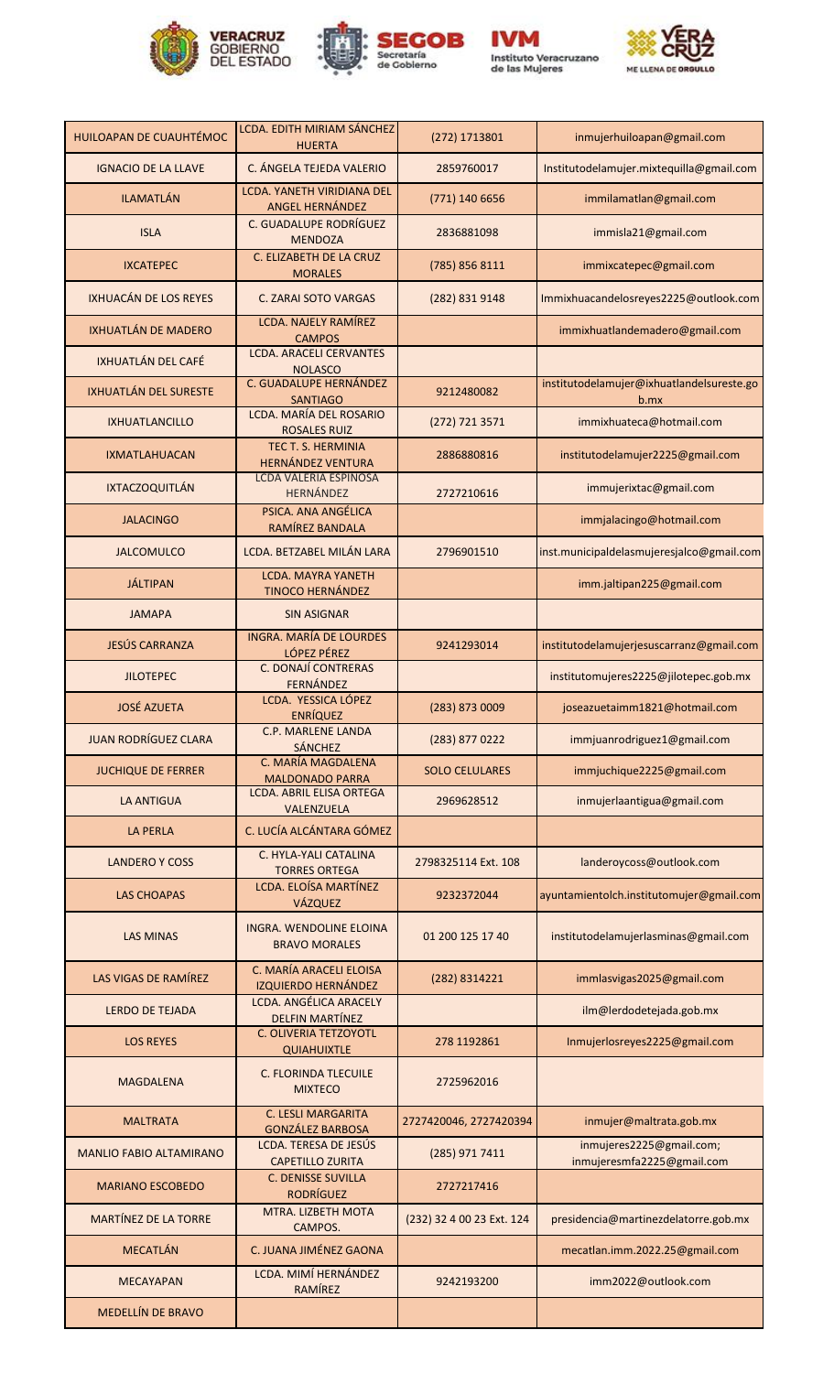







| HUILOAPAN DE CUAUHTÉMOC        | LCDA. EDITH MIRIAM SÁNCHEZ<br><b>HUERTA</b>             | (272) 1713801             | inmujerhuiloapan@gmail.com                             |
|--------------------------------|---------------------------------------------------------|---------------------------|--------------------------------------------------------|
| <b>IGNACIO DE LA LLAVE</b>     | C. ÁNGELA TEJEDA VALERIO                                | 2859760017                | Institutodelamujer.mixtequilla@gmail.com               |
| <b>ILAMATLÁN</b>               | LCDA. YANETH VIRIDIANA DEL<br>ANGEL HERNÁNDEZ           | (771) 140 6656            | immilamatlan@gmail.com                                 |
| <b>ISLA</b>                    | C. GUADALUPE RODRÍGUEZ<br><b>MENDOZA</b>                | 2836881098                | immisla21@gmail.com                                    |
| <b>IXCATEPEC</b>               | C. ELIZABETH DE LA CRUZ<br><b>MORALES</b>               | (785) 856 8111            | immixcatepec@gmail.com                                 |
| IXHUACÁN DE LOS REYES          | <b>C. ZARAI SOTO VARGAS</b>                             | (282) 831 9148            | Immixhuacandelosreyes2225@outlook.com                  |
| IXHUATLÁN DE MADERO            | <b>LCDA. NAJELY RAMÍREZ</b><br><b>CAMPOS</b>            |                           | immixhuatlandemadero@gmail.com                         |
| IXHUATLÁN DEL CAFÉ             | <b>LCDA. ARACELI CERVANTES</b><br><b>NOLASCO</b>        |                           |                                                        |
| <b>IXHUATLÁN DEL SURESTE</b>   | C. GUADALUPE HERNÁNDEZ<br><b>SANTIAGO</b>               | 9212480082                | institutodelamujer@ixhuatlandelsureste.go<br>$b$ .mx   |
| <b>IXHUATLANCILLO</b>          | LCDA. MARÍA DEL ROSARIO<br><b>ROSALES RUIZ</b>          | (272) 721 3571            | immixhuateca@hotmail.com                               |
| <b>IXMATLAHUACAN</b>           | TEC T. S. HERMINIA<br><b>HERNÁNDEZ VENTURA</b>          | 2886880816                | institutodelamujer2225@gmail.com                       |
| <b>IXTACZOQUITLÁN</b>          | <b>LCDA VALERIA ESPINOSA</b><br><b>HERNÁNDEZ</b>        | 2727210616                | immujerixtac@gmail.com                                 |
| <b>JALACINGO</b>               | PSICA. ANA ANGÉLICA<br>RAMÍREZ BANDALA                  |                           | immjalacingo@hotmail.com                               |
| <b>JALCOMULCO</b>              | LCDA. BETZABEL MILÁN LARA                               | 2796901510                | inst.municipaldelasmujeresjalco@gmail.com              |
| <b>JÁLTIPAN</b>                | <b>LCDA. MAYRA YANETH</b><br><b>TINOCO HERNÁNDEZ</b>    |                           | imm.jaltipan225@gmail.com                              |
| <b>JAMAPA</b>                  | <b>SIN ASIGNAR</b>                                      |                           |                                                        |
| JESÚS CARRANZA                 | <b>INGRA. MARÍA DE LOURDES</b><br>LÓPEZ PÉREZ           | 9241293014                | institutodelamujerjesuscarranz@gmail.com               |
| <b>JILOTEPEC</b>               | C. DONAJÍ CONTRERAS<br><b>FERNÁNDEZ</b>                 |                           | institutomujeres2225@jilotepec.gob.mx                  |
| <b>JOSÉ AZUETA</b>             | LCDA. YESSICA LÓPEZ<br><b>ENRÍQUEZ</b>                  | (283) 873 0009            | joseazuetaimm1821@hotmail.com                          |
| <b>JUAN RODRÍGUEZ CLARA</b>    | <b>C.P. MARLENE LANDA</b><br><b>SÁNCHEZ</b>             | (283) 877 0222            | immjuanrodriguez1@gmail.com                            |
| <b>JUCHIQUE DE FERRER</b>      | C. MARÍA MAGDALENA<br><b>MALDONADO PARRA</b>            | <b>SOLO CELULARES</b>     | immjuchique2225@gmail.com                              |
| <b>LA ANTIGUA</b>              | <b>LCDA. ABRIL ELISA ORTEGA</b><br>VALENZUELA           | 2969628512                | inmujerlaantigua@gmail.com                             |
| <b>LA PERLA</b>                | C. LUCÍA ALCÁNTARA GÓMEZ                                |                           |                                                        |
| <b>LANDERO Y COSS</b>          | C. HYLA-YALI CATALINA<br><b>TORRES ORTEGA</b>           | 2798325114 Ext. 108       | landeroycoss@outlook.com                               |
| <b>LAS CHOAPAS</b>             | LCDA. ELOÍSA MARTÍNEZ<br>VÁZQUEZ                        | 9232372044                | ayuntamientolch.institutomujer@gmail.com               |
| <b>LAS MINAS</b>               | INGRA. WENDOLINE ELOINA<br><b>BRAVO MORALES</b>         | 01 200 125 17 40          | institutodelamujerlasminas@gmail.com                   |
| LAS VIGAS DE RAMÍREZ           | C. MARÍA ARACELI ELOISA<br><b>IZQUIERDO HERNÁNDEZ</b>   | (282) 8314221             | immlasvigas2025@gmail.com                              |
| <b>LERDO DE TEJADA</b>         | <b>LCDA. ANGÉLICA ARACELY</b><br><b>DELFIN MARTÍNEZ</b> |                           | ilm@lerdodetejada.gob.mx                               |
| <b>LOS REYES</b>               | <b>C. OLIVERIA TETZOYOTL</b><br><b>QUIAHUIXTLE</b>      | 278 1192861               | Inmujerlosreyes2225@gmail.com                          |
| <b>MAGDALENA</b>               | <b>C. FLORINDA TLECUILE</b><br><b>MIXTECO</b>           | 2725962016                |                                                        |
| <b>MALTRATA</b>                | <b>C. LESLI MARGARITA</b><br><b>GONZÁLEZ BARBOSA</b>    | 2727420046, 2727420394    | inmujer@maltrata.gob.mx                                |
| <b>MANLIO FABIO ALTAMIRANO</b> | LCDA. TERESA DE JESÚS<br><b>CAPETILLO ZURITA</b>        | (285) 971 7411            | inmujeres2225@gmail.com;<br>inmujeresmfa2225@gmail.com |
| <b>MARIANO ESCOBEDO</b>        | <b>C. DENISSE SUVILLA</b><br><b>RODRÍGUEZ</b>           | 2727217416                |                                                        |
| <b>MARTÍNEZ DE LA TORRE</b>    | MTRA. LIZBETH MOTA<br>CAMPOS.                           | (232) 32 4 00 23 Ext. 124 | presidencia@martinezdelatorre.gob.mx                   |
| <b>MECATLÁN</b>                | C. JUANA JIMÉNEZ GAONA                                  |                           | mecatlan.imm.2022.25@gmail.com                         |
| <b>MECAYAPAN</b>               | LCDA. MIMÍ HERNÁNDEZ<br>RAMÍREZ                         | 9242193200                | imm2022@outlook.com                                    |
| MEDELLÍN DE BRAVO              |                                                         |                           |                                                        |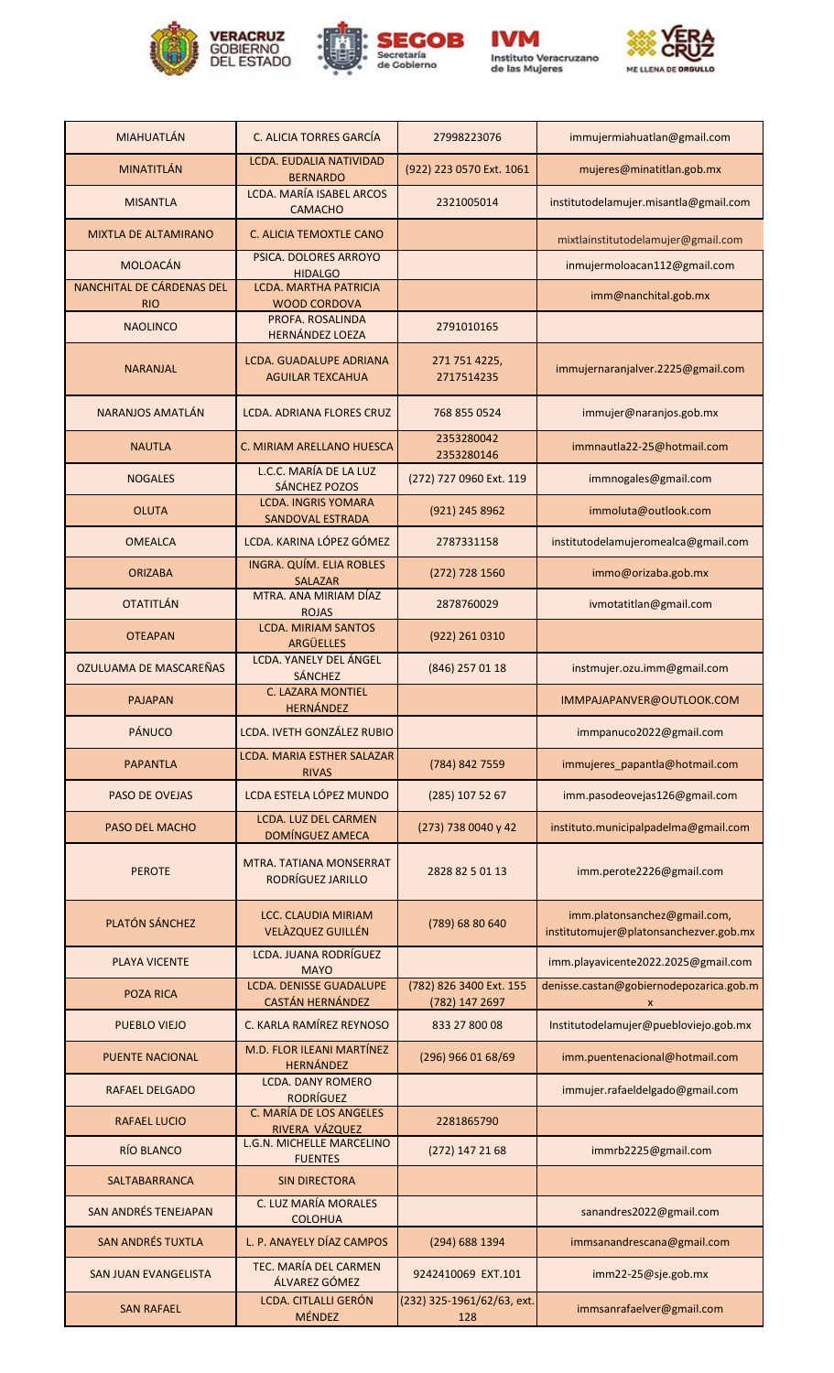









| <b>MIAHUATLÁN</b>                       |                                                                              |                                           |                                                                        |
|-----------------------------------------|------------------------------------------------------------------------------|-------------------------------------------|------------------------------------------------------------------------|
|                                         | C. ALICIA TORRES GARCÍA<br><b>LCDA. EUDALIA NATIVIDAD</b>                    | 27998223076                               | immujermiahuatlan@gmail.com                                            |
| <b>MINATITLÁN</b>                       | <b>BERNARDO</b>                                                              | (922) 223 0570 Ext. 1061                  | mujeres@minatitlan.gob.mx                                              |
| <b>MISANTLA</b>                         | <b>LCDA. MARÍA ISABEL ARCOS</b><br><b>CAMACHO</b>                            | 2321005014                                | institutodelamujer.misantla@gmail.com                                  |
| <b>MIXTLA DE ALTAMIRANO</b>             | C. ALICIA TEMOXTLE CANO                                                      |                                           | mixtlainstitutodelamujer@gmail.com                                     |
| <b>MOLOACÁN</b>                         | PSICA. DOLORES ARROYO<br><b>HIDALGO</b>                                      |                                           | inmujermoloacan112@gmail.com                                           |
| NANCHITAL DE CÁRDENAS DEL<br><b>RIO</b> | <b>LCDA. MARTHA PATRICIA</b><br><b>WOOD CORDOVA</b>                          |                                           | imm@nanchital.gob.mx                                                   |
| <b>NAOLINCO</b>                         | PROFA. ROSALINDA                                                             | 2791010165                                |                                                                        |
| <b>NARANJAL</b>                         | <b>HERNÁNDEZ LOEZA</b><br>LCDA. GUADALUPE ADRIANA<br><b>AGUILAR TEXCAHUA</b> | 271 751 4225,<br>2717514235               | immujernaranjalver.2225@gmail.com                                      |
| <b>NARANJOS AMATLÁN</b>                 | <b>LCDA. ADRIANA FLORES CRUZ</b>                                             | 768 855 0524                              | immujer@naranjos.gob.mx                                                |
| <b>NAUTLA</b>                           | C. MIRIAM ARELLANO HUESCA                                                    | 2353280042<br>2353280146                  | immnautla22-25@hotmail.com                                             |
| <b>NOGALES</b>                          | L.C.C. MARÍA DE LA LUZ<br><b>SÁNCHEZ POZOS</b>                               | (272) 727 0960 Ext. 119                   | immnogales@gmail.com                                                   |
| <b>OLUTA</b>                            | <b>LCDA. INGRIS YOMARA</b><br><b>SANDOVAL ESTRADA</b>                        | (921) 245 8962                            | immoluta@outlook.com                                                   |
| <b>OMEALCA</b>                          | LCDA. KARINA LÓPEZ GÓMEZ                                                     | 2787331158                                | institutodelamujeromealca@gmail.com                                    |
| <b>ORIZABA</b>                          | INGRA. QUÍM. ELIA ROBLES<br><b>SALAZAR</b>                                   | (272) 728 1560                            | immo@orizaba.gob.mx                                                    |
| <b>OTATITLÁN</b>                        | MTRA. ANA MIRIAM DÍAZ<br><b>ROJAS</b>                                        | 2878760029                                | ivmotatitlan@gmail.com                                                 |
| <b>OTEAPAN</b>                          | <b>LCDA. MIRIAM SANTOS</b><br>ARGÜELLES                                      | (922) 261 0310                            |                                                                        |
| OZULUAMA DE MASCAREÑAS                  | LCDA. YANELY DEL ÁNGEL<br><b>SÁNCHEZ</b>                                     | (846) 257 01 18                           | instmujer.ozu.imm@gmail.com                                            |
| <b>PAJAPAN</b>                          | <b>C. LAZARA MONTIEL</b><br><b>HERNÁNDEZ</b>                                 |                                           | IMMPAJAPANVER@OUTLOOK.COM                                              |
| PÁNUCO                                  | <b>LCDA. IVETH GONZÁLEZ RUBIO</b>                                            |                                           | immpanuco2022@gmail.com                                                |
| <b>PAPANTLA</b>                         | LCDA. MARIA ESTHER SALAZAR<br><b>RIVAS</b>                                   | (784) 842 7559                            | immujeres_papantla@hotmail.com                                         |
| <b>PASO DE OVEJAS</b>                   | LCDA ESTELA LÓPEZ MUNDO                                                      | (285) 107 52 67                           | imm.pasodeovejas126@gmail.com                                          |
| PASO DEL MACHO                          | <b>LCDA. LUZ DEL CARMEN</b><br>DOMÍNGUEZ AMECA                               | (273) 738 0040 y 42                       | instituto.municipalpadelma@gmail.com                                   |
| <b>PEROTE</b>                           | MTRA, TATIANA MONSERRAT<br>RODRÍGUEZ JARILLO                                 | 2828 82 5 01 13                           | imm.perote2226@gmail.com                                               |
| PLATÓN SÁNCHEZ                          | <b>LCC. CLAUDIA MIRIAM</b><br>VELÀZQUEZ GUILLÉN                              | (789) 68 80 640                           | imm.platonsanchez@gmail.com,<br>institutomujer@platonsanchezver.gob.mx |
| <b>PLAYA VICENTE</b>                    | <b>LCDA. JUANA RODRÍGUEZ</b><br><b>MAYO</b>                                  |                                           | imm.playavicente2022.2025@gmail.com                                    |
| <b>POZA RICA</b>                        | <b>LCDA. DENISSE GUADALUPE</b><br><b>CASTÁN HERNÁNDEZ</b>                    | (782) 826 3400 Ext. 155<br>(782) 147 2697 | denisse.castan@gobiernodepozarica.gob.m<br>$\mathsf{x}$                |
| <b>PUEBLO VIEJO</b>                     | C. KARLA RAMÍREZ REYNOSO                                                     | 833 27 800 08                             | Institutodelamujer@puebloviejo.gob.mx                                  |
| <b>PUENTE NACIONAL</b>                  | M.D. FLOR ILEANI MARTÍNEZ<br><b>HERNÁNDEZ</b>                                | (296) 966 01 68/69                        | imm.puentenacional@hotmail.com                                         |
| <b>RAFAEL DELGADO</b>                   | <b>LCDA. DANY ROMERO</b><br><b>RODRÍGUEZ</b>                                 |                                           | immujer.rafaeldelgado@gmail.com                                        |
| <b>RAFAEL LUCIO</b>                     | C. MARÍA DE LOS ANGELES<br>RIVERA VÁZQUEZ                                    | 2281865790                                |                                                                        |
| RÍO BLANCO                              | <b>L.G.N. MICHELLE MARCELINO</b><br><b>FUENTES</b>                           | (272) 147 21 68                           | immrb2225@gmail.com                                                    |
| <b>SALTABARRANCA</b>                    | <b>SIN DIRECTORA</b>                                                         |                                           |                                                                        |
| <b>SAN ANDRÉS TENEJAPAN</b>             | C. LUZ MARÍA MORALES<br><b>COLOHUA</b>                                       |                                           | sanandres2022@gmail.com                                                |
| <b>SAN ANDRÉS TUXTLA</b>                | L. P. ANAYELY DÍAZ CAMPOS                                                    | (294) 688 1394                            | immsanandrescana@gmail.com                                             |
| <b>SAN JUAN EVANGELISTA</b>             | TEC. MARÍA DEL CARMEN<br>ÁLVAREZ GÓMEZ                                       | 9242410069 EXT.101                        | imm22-25@sje.gob.mx                                                    |
| <b>SAN RAFAEL</b>                       | LCDA. CITLALLI GERÓN<br>MÉNDEZ                                               | (232) 325-1961/62/63, ext.<br>128         | immsanrafaelver@gmail.com                                              |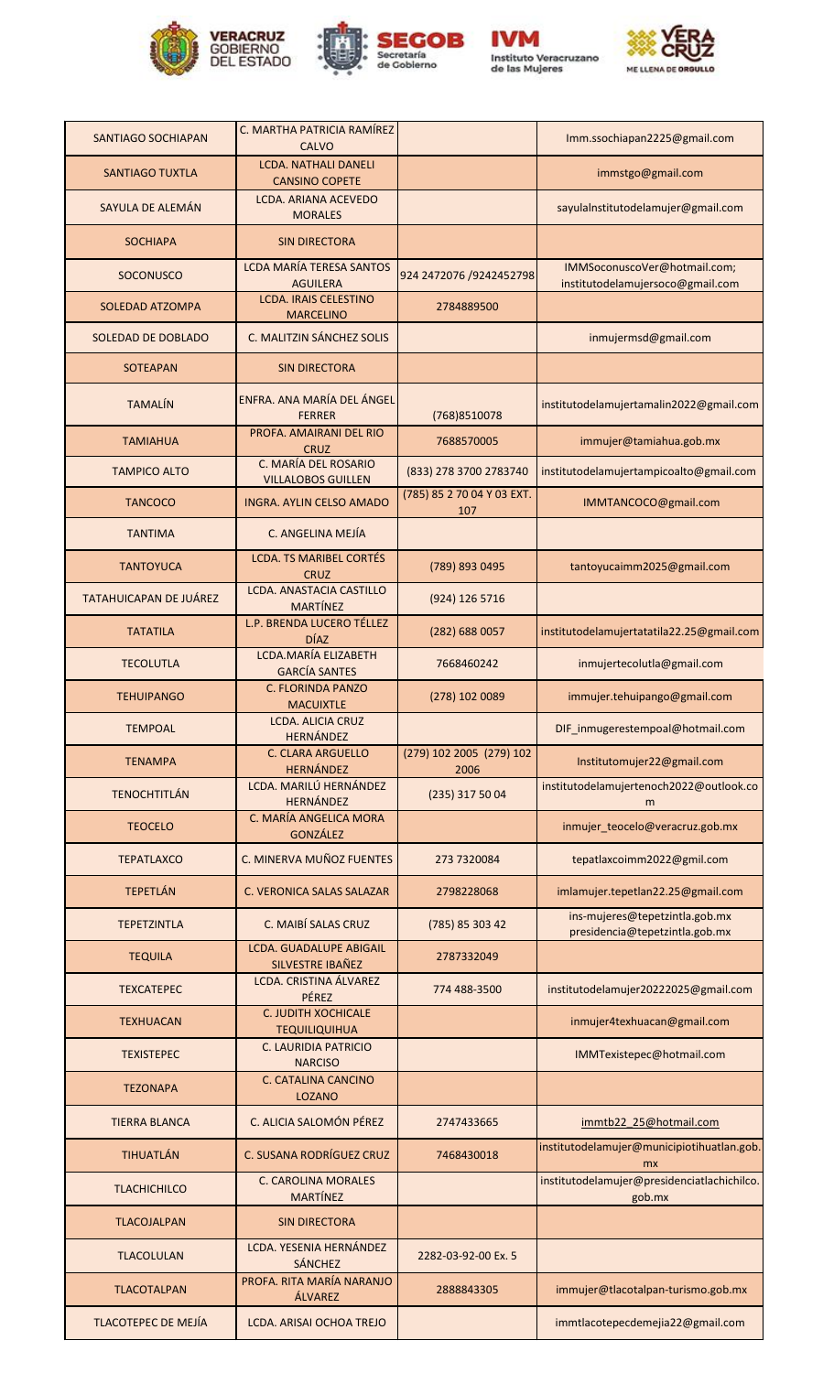







| <b>SANTIAGO SOCHIAPAN</b>     | C. MARTHA PATRICIA RAMÍREZ<br><b>CALVO</b>           |                                   | Imm.ssochiapan2225@gmail.com                                     |
|-------------------------------|------------------------------------------------------|-----------------------------------|------------------------------------------------------------------|
| <b>SANTIAGO TUXTLA</b>        | <b>LCDA. NATHALI DANELI</b><br><b>CANSINO COPETE</b> |                                   | immstgo@gmail.com                                                |
| SAYULA DE ALEMÁN              | LCDA. ARIANA ACEVEDO<br><b>MORALES</b>               |                                   | sayulalnstitutodelamujer@gmail.com                               |
| <b>SOCHIAPA</b>               | <b>SIN DIRECTORA</b>                                 |                                   |                                                                  |
| <b>SOCONUSCO</b>              | LCDA MARÍA TERESA SANTOS<br><b>AGUILERA</b>          | 924 2472076 /9242452798           | IMMSoconuscoVer@hotmail.com;<br>institutodelamujersoco@gmail.com |
| <b>SOLEDAD ATZOMPA</b>        | <b>LCDA. IRAIS CELESTINO</b><br><b>MARCELINO</b>     | 2784889500                        |                                                                  |
| SOLEDAD DE DOBLADO            | C. MALITZIN SÁNCHEZ SOLIS                            |                                   | inmujermsd@gmail.com                                             |
| <b>SOTEAPAN</b>               | <b>SIN DIRECTORA</b>                                 |                                   |                                                                  |
| <b>TAMALÍN</b>                | ENFRA. ANA MARÍA DEL ÁNGEL<br><b>FERRER</b>          | (768) 8510078                     | institutodelamujertamalin2022@gmail.com                          |
| <b>TAMIAHUA</b>               | PROFA. AMAIRANI DEL RIO<br><b>CRUZ</b>               | 7688570005                        | immujer@tamiahua.gob.mx                                          |
| <b>TAMPICO ALTO</b>           | C. MARÍA DEL ROSARIO<br><b>VILLALOBOS GUILLEN</b>    | (833) 278 3700 2783740            | institutodelamujertampicoalto@gmail.com                          |
| <b>TANCOCO</b>                | INGRA. AYLIN CELSO AMADO                             | (785) 85 2 70 04 Y 03 EXT.<br>107 | IMMTANCOCO@gmail.com                                             |
| <b>TANTIMA</b>                | C. ANGELINA MEJÍA                                    |                                   |                                                                  |
| <b>TANTOYUCA</b>              | <b>LCDA. TS MARIBEL CORTÉS</b><br><b>CRUZ</b>        | (789) 893 0495                    | tantoyucaimm2025@gmail.com                                       |
| <b>TATAHUICAPAN DE JUÁREZ</b> | LCDA. ANASTACIA CASTILLO<br><b>MARTÍNEZ</b>          | (924) 126 5716                    |                                                                  |
| <b>TATATILA</b>               | L.P. BRENDA LUCERO TÉLLEZ<br><b>DÍAZ</b>             | (282) 688 0057                    | institutodelamujertatatila22.25@gmail.com                        |
| <b>TECOLUTLA</b>              | LCDA.MARÍA ELIZABETH<br><b>GARCÍA SANTES</b>         | 7668460242                        | inmujertecolutla@gmail.com                                       |
| <b>TEHUIPANGO</b>             | <b>C. FLORINDA PANZO</b><br><b>MACUIXTLE</b>         | (278) 102 0089                    | immujer.tehuipango@gmail.com                                     |
| <b>TEMPOAL</b>                | LCDA. ALICIA CRUZ<br><b>HERNÁNDEZ</b>                |                                   | DIF inmugerestempoal@hotmail.com                                 |
| <b>TENAMPA</b>                | C. CLARA ARGUELLO<br><b>HERNÁNDEZ</b>                | (279) 102 2005 (279) 102<br>2006  | Institutomujer22@gmail.com                                       |
| <b>TENOCHTITLÁN</b>           | LCDA. MARILÚ HERNÁNDEZ<br><b>HERNÁNDEZ</b>           | (235) 317 50 04                   | institutodelamujertenoch2022@outlook.co<br>m                     |
| <b>TEOCELO</b>                | C. MARÍA ANGELICA MORA<br><b>GONZÁLEZ</b>            |                                   | inmujer_teocelo@veracruz.gob.mx                                  |
| <b>TEPATLAXCO</b>             | C. MINERVA MUÑOZ FUENTES                             | 273 7320084                       | tepatlaxcoimm2022@gmil.com                                       |
| <b>TEPETLÁN</b>               | C. VERONICA SALAS SALAZAR                            | 2798228068                        | imlamujer.tepetlan22.25@gmail.com                                |
| <b>TEPETZINTLA</b>            | C. MAIBÍ SALAS CRUZ                                  | (785) 85 303 42                   | ins-mujeres@tepetzintla.gob.mx<br>presidencia@tepetzintla.gob.mx |
| <b>TEQUILA</b>                | <b>LCDA. GUADALUPE ABIGAIL</b><br>SILVESTRE IBAÑEZ   | 2787332049                        |                                                                  |
| <b>TEXCATEPEC</b>             | LCDA. CRISTINA ÁLVAREZ<br>PÉREZ                      | 774 488-3500                      | institutodelamujer20222025@gmail.com                             |
| <b>TEXHUACAN</b>              | C. JUDITH XOCHICALE<br><b>TEQUILIQUIHUA</b>          |                                   | inmujer4texhuacan@gmail.com                                      |
| <b>TEXISTEPEC</b>             | <b>C. LAURIDIA PATRICIO</b><br><b>NARCISO</b>        |                                   | IMMTexistepec@hotmail.com                                        |
| <b>TEZONAPA</b>               | <b>C. CATALINA CANCINO</b><br><b>LOZANO</b>          |                                   |                                                                  |
| <b>TIERRA BLANCA</b>          | C. ALICIA SALOMÓN PÉREZ                              | 2747433665                        | immtb22 25@hotmail.com                                           |
| TIHUATLÁN                     | C. SUSANA RODRÍGUEZ CRUZ                             | 7468430018                        | institutodelamujer@municipiotihuatlan.gob.<br>mx                 |
| <b>TLACHICHILCO</b>           | <b>C. CAROLINA MORALES</b><br><b>MARTÍNEZ</b>        |                                   | institutodelamujer@presidenciatlachichilco.<br>gob.mx            |
| <b>TLACOJALPAN</b>            | <b>SIN DIRECTORA</b>                                 |                                   |                                                                  |
| <b>TLACOLULAN</b>             | LCDA. YESENIA HERNÁNDEZ<br><b>SÁNCHEZ</b>            | 2282-03-92-00 Ex. 5               |                                                                  |
| <b>TLACOTALPAN</b>            | PROFA. RITA MARÍA NARANJO<br>ÁLVAREZ                 | 2888843305                        | immujer@tlacotalpan-turismo.gob.mx                               |
| <b>TLACOTEPEC DE MEJÍA</b>    | LCDA. ARISAI OCHOA TREJO                             |                                   | immtlacotepecdemejia22@gmail.com                                 |